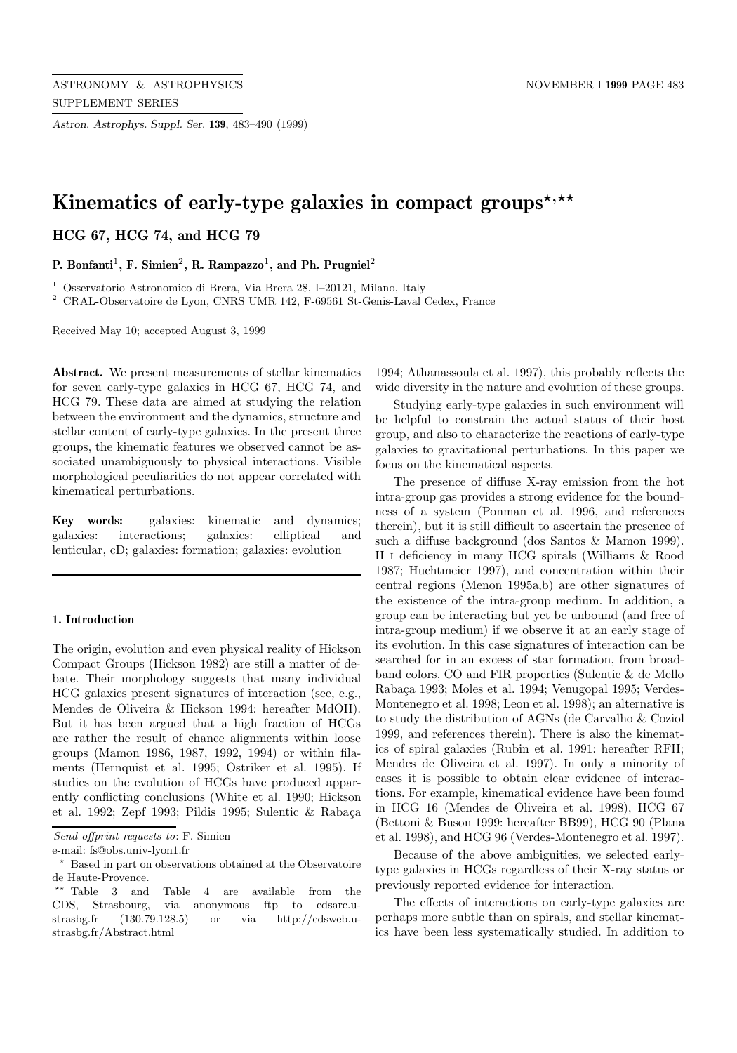*Astron. Astrophys. Suppl. Ser.* **139**, 483–490 (1999)

# Kinematics of early-type galaxies in compact groups<sup>\*,\*\*</sup>

# **HCG 67, HCG 74, and HCG 79**

**P. Bonfanti**<sup>1</sup>**, F. Simien**<sup>2</sup>**, R. Rampazzo**<sup>1</sup>**, and Ph. Prugniel**<sup>2</sup>

<sup>1</sup> Osservatorio Astronomico di Brera, Via Brera 28, I–20121, Milano, Italy

 $^2\,$  CRAL-Observatoire de Lyon, CNRS UMR 142, F-69561 St-Genis-Laval Cedex, France

Received May 10; accepted August 3, 1999

**Abstract.** We present measurements of stellar kinematics for seven early-type galaxies in HCG 67, HCG 74, and HCG 79. These data are aimed at studying the relation between the environment and the dynamics, structure and stellar content of early-type galaxies. In the present three groups, the kinematic features we observed cannot be associated unambiguously to physical interactions. Visible morphological peculiarities do not appear correlated with kinematical perturbations.

**Key words:** galaxies: kinematic and dynamics; galaxies: interactions; galaxies: elliptical and lenticular, cD; galaxies: formation; galaxies: evolution

## **1. Introduction**

The origin, evolution and even physical reality of Hickson Compact Groups (Hickson 1982) are still a matter of debate. Their morphology suggests that many individual HCG galaxies present signatures of interaction (see, e.g., Mendes de Oliveira & Hickson 1994: hereafter MdOH). But it has been argued that a high fraction of HCGs are rather the result of chance alignments within loose groups (Mamon 1986, 1987, 1992, 1994) or within filaments (Hernquist et al. 1995; Ostriker et al. 1995). If studies on the evolution of HCGs have produced apparently conflicting conclusions (White et al. 1990; Hickson et al. 1992; Zepf 1993; Pildis 1995; Sulentic & Rabaça 1994; Athanassoula et al. 1997), this probably reflects the wide diversity in the nature and evolution of these groups.

Studying early-type galaxies in such environment will be helpful to constrain the actual status of their host group, and also to characterize the reactions of early-type galaxies to gravitational perturbations. In this paper we focus on the kinematical aspects.

The presence of diffuse X-ray emission from the hot intra-group gas provides a strong evidence for the boundness of a system (Ponman et al. 1996, and references therein), but it is still difficult to ascertain the presence of such a diffuse background (dos Santos & Mamon 1999). H i deficiency in many HCG spirals (Williams & Rood 1987; Huchtmeier 1997), and concentration within their central regions (Menon 1995a,b) are other signatures of the existence of the intra-group medium. In addition, a group can be interacting but yet be unbound (and free of intra-group medium) if we observe it at an early stage of its evolution. In this case signatures of interaction can be searched for in an excess of star formation, from broadband colors, CO and FIR properties (Sulentic & de Mello Raba¸ca 1993; Moles et al. 1994; Venugopal 1995; Verdes-Montenegro et al. 1998; Leon et al. 1998); an alternative is to study the distribution of AGNs (de Carvalho & Coziol 1999, and references therein). There is also the kinematics of spiral galaxies (Rubin et al. 1991: hereafter RFH; Mendes de Oliveira et al. 1997). In only a minority of cases it is possible to obtain clear evidence of interactions. For example, kinematical evidence have been found in HCG 16 (Mendes de Oliveira et al. 1998), HCG 67 (Bettoni & Buson 1999: hereafter BB99), HCG 90 (Plana et al. 1998), and HCG 96 (Verdes-Montenegro et al. 1997).

Because of the above ambiguities, we selected earlytype galaxies in HCGs regardless of their X-ray status or previously reported evidence for interaction.

The effects of interactions on early-type galaxies are perhaps more subtle than on spirals, and stellar kinematics have been less systematically studied. In addition to

Send offprint requests to: F. Simien

e-mail: fs@obs.univ-lyon1.fr

<sup>?</sup> Based in part on observations obtained at the Observatoire de Haute-Provence.

 $**$  Table 3 and Table 4 are available from the CDS, Strasbourg, via anonymous ftp to cdsarc.ustrasbg.fr (130.79.128.5) or via http://cdsweb.ustrasbg.fr/Abstract.html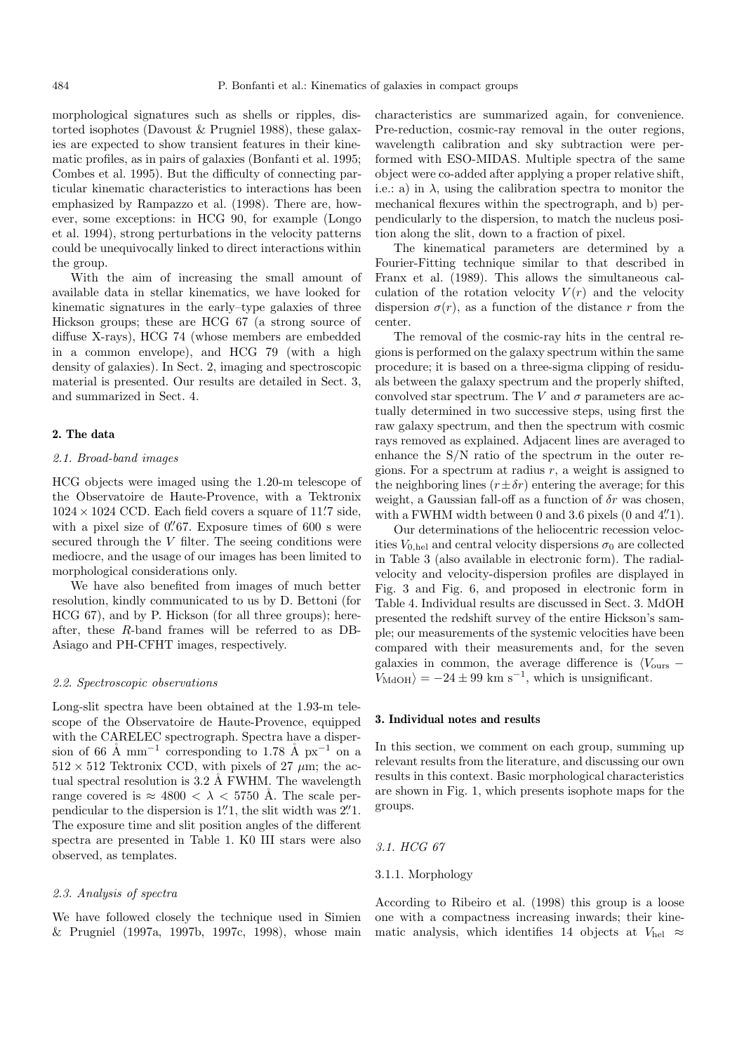morphological signatures such as shells or ripples, distorted isophotes (Davoust & Prugniel 1988), these galaxies are expected to show transient features in their kinematic profiles, as in pairs of galaxies (Bonfanti et al. 1995; Combes et al. 1995). But the difficulty of connecting particular kinematic characteristics to interactions has been emphasized by Rampazzo et al. (1998). There are, however, some exceptions: in HCG 90, for example (Longo et al. 1994), strong perturbations in the velocity patterns could be unequivocally linked to direct interactions within the group.

With the aim of increasing the small amount of available data in stellar kinematics, we have looked for kinematic signatures in the early–type galaxies of three Hickson groups; these are HCG 67 (a strong source of diffuse X-rays), HCG 74 (whose members are embedded in a common envelope), and HCG 79 (with a high density of galaxies). In Sect. 2, imaging and spectroscopic material is presented. Our results are detailed in Sect. 3, and summarized in Sect. 4.

#### **2. The data**

## 2.1. Broad-band images

HCG objects were imaged using the 1.20-m telescope of the Observatoire de Haute-Provence, with a Tektronix  $1024 \times 1024$  CCD. Each field covers a square of 11.7 side, with a pixel size of  $0''67$ . Exposure times of 600 s were secured through the  $V$  filter. The seeing conditions were mediocre, and the usage of our images has been limited to morphological considerations only.

We have also benefited from images of much better resolution, kindly communicated to us by D. Bettoni (for HCG 67), and by P. Hickson (for all three groups); hereafter, these R-band frames will be referred to as DB-Asiago and PH-CFHT images, respectively.

# 2.2. Spectroscopic observations

Long-slit spectra have been obtained at the 1.93-m telescope of the Observatoire de Haute-Provence, equipped with the CARELEC spectrograph. Spectra have a dispersion of 66 Å mm<sup>-1</sup> corresponding to 1.78 Å px<sup>-1</sup> on a  $512 \times 512$  Tektronix CCD, with pixels of 27  $\mu$ m; the actual spectral resolution is  $3.2 \text{ Å}$  FWHM. The wavelength range covered is  $\approx 4800 < \lambda < 5750$  Å. The scale perpendicular to the dispersion is  $1\rlap{.}^{\prime\prime}1$ , the slit width was  $2\rlap{.}^{\prime\prime}1$ . The exposure time and slit position angles of the different spectra are presented in Table 1. K0 III stars were also observed, as templates.

#### 2.3. Analysis of spectra

We have followed closely the technique used in Simien & Prugniel (1997a, 1997b, 1997c, 1998), whose main characteristics are summarized again, for convenience. Pre-reduction, cosmic-ray removal in the outer regions, wavelength calibration and sky subtraction were performed with ESO-MIDAS. Multiple spectra of the same object were co-added after applying a proper relative shift, i.e.: a) in  $\lambda$ , using the calibration spectra to monitor the mechanical flexures within the spectrograph, and b) perpendicularly to the dispersion, to match the nucleus position along the slit, down to a fraction of pixel.

The kinematical parameters are determined by a Fourier-Fitting technique similar to that described in Franx et al. (1989). This allows the simultaneous calculation of the rotation velocity  $V(r)$  and the velocity dispersion  $\sigma(r)$ , as a function of the distance r from the center.

The removal of the cosmic-ray hits in the central regions is performed on the galaxy spectrum within the same procedure; it is based on a three-sigma clipping of residuals between the galaxy spectrum and the properly shifted, convolved star spectrum. The V and  $\sigma$  parameters are actually determined in two successive steps, using first the raw galaxy spectrum, and then the spectrum with cosmic rays removed as explained. Adjacent lines are averaged to enhance the S/N ratio of the spectrum in the outer regions. For a spectrum at radius  $r$ , a weight is assigned to the neighboring lines  $(r \pm \delta r)$  entering the average; for this weight, a Gaussian fall-off as a function of  $\delta r$  was chosen, with a FWHM width between 0 and 3.6 pixels  $(0 \text{ and } 4\rlap{.}^{\prime\prime}1).$ 

Our determinations of the heliocentric recession velocities  $V_{0,hel}$  and central velocity dispersions  $\sigma_0$  are collected in Table 3 (also available in electronic form). The radialvelocity and velocity-dispersion profiles are displayed in Fig. 3 and Fig. 6, and proposed in electronic form in Table 4. Individual results are discussed in Sect. 3. MdOH presented the redshift survey of the entire Hickson's sample; our measurements of the systemic velocities have been compared with their measurements and, for the seven galaxies in common, the average difference is  $\langle V_{\text{ours}} V_{\text{MdOH}}$  =  $-24 \pm 99$  km s<sup>-1</sup>, which is unsignificant.

#### **3. Individual notes and results**

In this section, we comment on each group, summing up relevant results from the literature, and discussing our own results in this context. Basic morphological characteristics are shown in Fig. 1, which presents isophote maps for the groups.

#### 3.1. HCG 67

## 3.1.1. Morphology

According to Ribeiro et al. (1998) this group is a loose one with a compactness increasing inwards; their kinematic analysis, which identifies 14 objects at  $V_{hel} \approx$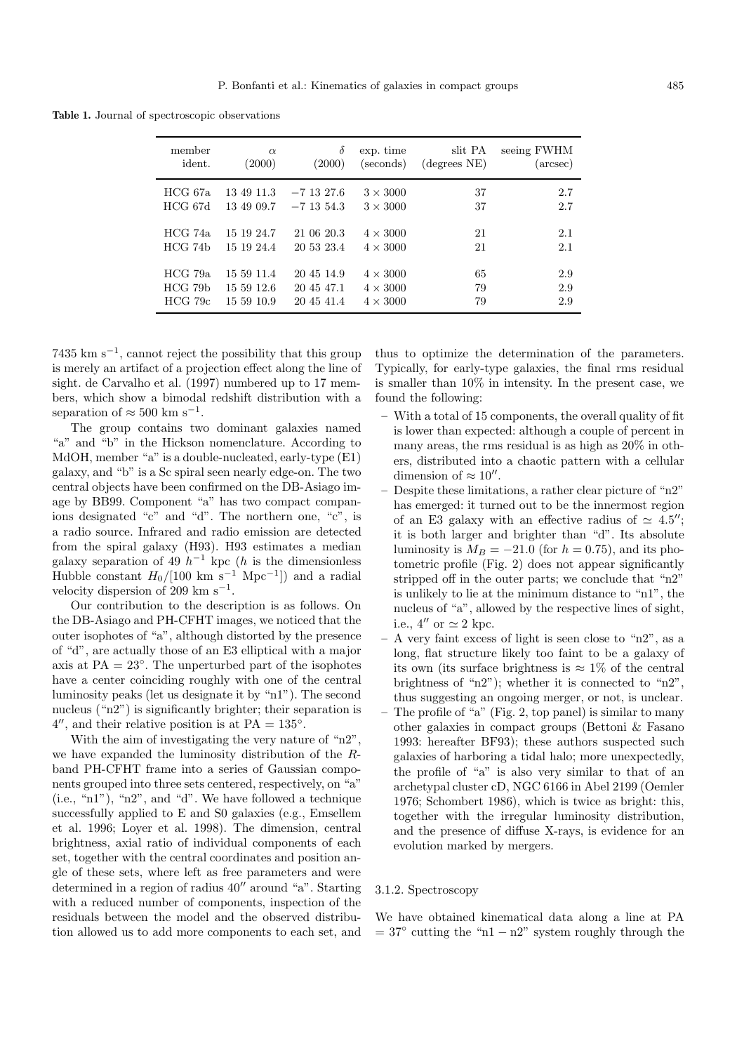**Table 1.** Journal of spectroscopic observations

| member       | $\alpha$   | $\delta$     | exp. time       | slit PA                        | seeing FWHM       |
|--------------|------------|--------------|-----------------|--------------------------------|-------------------|
| ident.       | (2000)     | (2000)       | (seconds)       | $(\text{degrees} \ N\text{E})$ | $(\text{arcsec})$ |
| HCG 67a      | 13 49 11.3 | $-7$ 13 27.6 | $3 \times 3000$ | 37                             | 2.7               |
| HCG 67d      | 13 49 09.7 | $-7$ 13 54.3 | $3 \times 3000$ | 37                             | 2.7               |
| HCG 74a      | 15 19 24.7 | 21 06 20.3   | $4 \times 3000$ | 21                             | 2.1               |
| HCG 74b      | 15 19 24.4 | 20 53 23.4   | $4 \times 3000$ | 21                             | 2.1               |
| HCG 79a      | 15 59 11.4 | 20 45 14.9   | $4 \times 3000$ | 65                             | 2.9               |
| HCG 79b      | 15 59 12.6 | 20 45 47.1   | $4 \times 3000$ | 79                             | 2.9               |
| $HCG$ 79 $c$ | 15 59 10.9 | 20 45 41.4   | $4 \times 3000$ | 79                             | 2.9               |

 $7435 \text{ km s}^{-1}$ , cannot reject the possibility that this group is merely an artifact of a projection effect along the line of sight. de Carvalho et al. (1997) numbered up to 17 members, which show a bimodal redshift distribution with a separation of  $\approx 500$  km  $\rm s^{-1}.$ 

The group contains two dominant galaxies named "a" and "b" in the Hickson nomenclature. According to MdOH, member "a" is a double-nucleated, early-type (E1) galaxy, and "b" is a Sc spiral seen nearly edge-on. The two central objects have been confirmed on the DB-Asiago image by BB99. Component "a" has two compact companions designated "c" and "d". The northern one, "c", is a radio source. Infrared and radio emission are detected from the spiral galaxy (H93). H93 estimates a median galaxy separation of 49  $h^{-1}$  kpc (h is the dimensionless Hubble constant  $H_0/[100 \text{ km s}^{-1} \text{ Mpc}^{-1}]$  and a radial velocity dispersion of 209 km s<sup> $-1$ </sup>.

Our contribution to the description is as follows. On the DB-Asiago and PH-CFHT images, we noticed that the outer isophotes of "a", although distorted by the presence of "d", are actually those of an E3 elliptical with a major axis at  $PA = 23^\circ$ . The unperturbed part of the isophotes have a center coinciding roughly with one of the central luminosity peaks (let us designate it by "n1"). The second nucleus ("n2") is significantly brighter; their separation is  $4^{\prime\prime}$ , and their relative position is at PA =  $135^{\circ}$ .

With the aim of investigating the very nature of "n2", we have expanded the luminosity distribution of the Rband PH-CFHT frame into a series of Gaussian components grouped into three sets centered, respectively, on "a" (i.e., "n1"), "n2", and "d". We have followed a technique successfully applied to E and S0 galaxies (e.g., Emsellem et al. 1996; Loyer et al. 1998). The dimension, central brightness, axial ratio of individual components of each set, together with the central coordinates and position angle of these sets, where left as free parameters and were determined in a region of radius  $40^{\prime\prime}$  around "a". Starting with a reduced number of components, inspection of the residuals between the model and the observed distribution allowed us to add more components to each set, and

thus to optimize the determination of the parameters. Typically, for early-type galaxies, the final rms residual is smaller than 10% in intensity. In the present case, we found the following:

- **–** With a total of 15 components, the overall quality of fit is lower than expected: although a couple of percent in many areas, the rms residual is as high as 20% in others, distributed into a chaotic pattern with a cellular dimension of  $\approx 10''$ .
- **–** Despite these limitations, a rather clear picture of "n2" has emerged: it turned out to be the innermost region of an E3 galaxy with an effective radius of  $\simeq 4.5$ "; it is both larger and brighter than "d". Its absolute luminosity is  $M_B = -21.0$  (for  $h = 0.75$ ), and its photometric profile (Fig. 2) does not appear significantly stripped off in the outer parts; we conclude that "n2" is unlikely to lie at the minimum distance to "n1", the nucleus of "a", allowed by the respective lines of sight, i.e.,  $4''$  or  $\simeq 2$  kpc.
- **–** A very faint excess of light is seen close to "n2", as a long, flat structure likely too faint to be a galaxy of its own (its surface brightness is  $\approx 1\%$  of the central brightness of "n2"); whether it is connected to "n2", thus suggesting an ongoing merger, or not, is unclear.
- **–** The profile of "a" (Fig. 2, top panel) is similar to many other galaxies in compact groups (Bettoni & Fasano 1993: hereafter BF93); these authors suspected such galaxies of harboring a tidal halo; more unexpectedly, the profile of "a" is also very similar to that of an archetypal cluster cD, NGC 6166 in Abel 2199 (Oemler 1976; Schombert 1986), which is twice as bright: this, together with the irregular luminosity distribution, and the presence of diffuse X-rays, is evidence for an evolution marked by mergers.

#### 3.1.2. Spectroscopy

We have obtained kinematical data along a line at PA  $= 37°$  cutting the "n1  $- n2"$  system roughly through the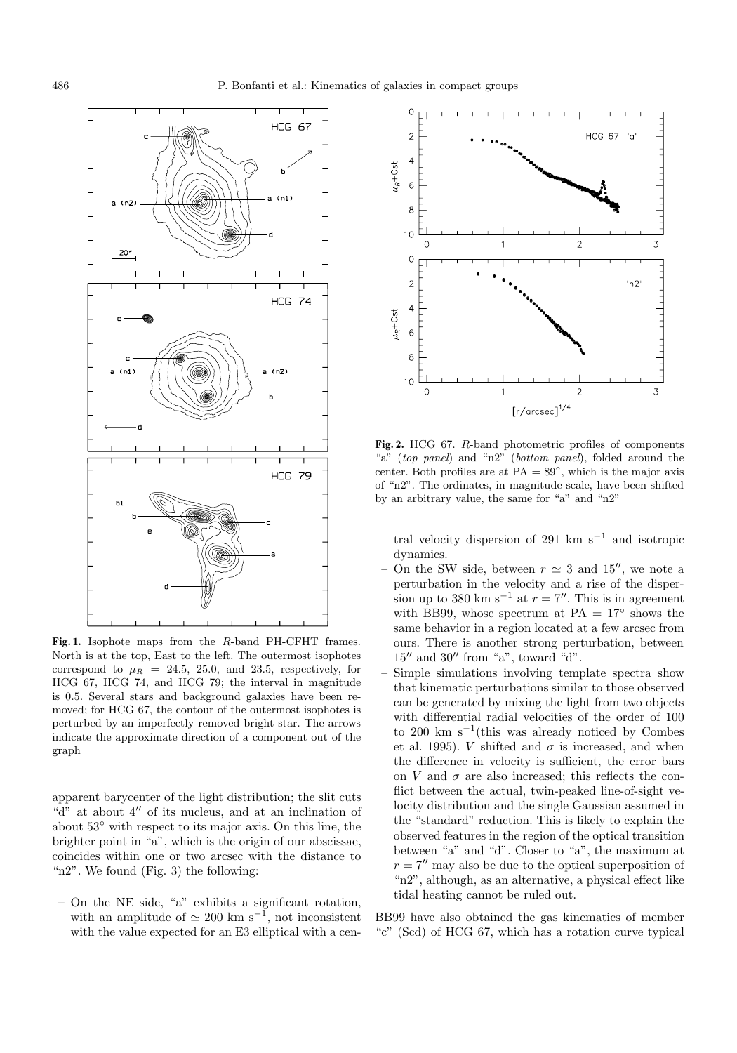

**Fig. 1.** Isophote maps from the R-band PH-CFHT frames. North is at the top, East to the left. The outermost isophotes correspond to  $\mu_R = 24.5, 25.0,$  and 23.5, respectively, for HCG 67, HCG 74, and HCG 79; the interval in magnitude is 0.5. Several stars and background galaxies have been removed; for HCG 67, the contour of the outermost isophotes is perturbed by an imperfectly removed bright star. The arrows indicate the approximate direction of a component out of the graph

apparent barycenter of the light distribution; the slit cuts "d" at about  $4$ " of its nucleus, and at an inclination of about 53◦ with respect to its major axis. On this line, the brighter point in "a", which is the origin of our abscissae, coincides within one or two arcsec with the distance to "n2". We found (Fig. 3) the following:

**–** On the NE side, "a" exhibits a significant rotation, with an amplitude of  $\simeq 200$  km s<sup>-1</sup>, not inconsistent with the value expected for an E3 elliptical with a cen-



**Fig. 2.** HCG 67. R-band photometric profiles of components "a" (top panel) and "n2" (bottom panel), folded around the center. Both profiles are at  $PA = 89^\circ$ , which is the major axis of "n2". The ordinates, in magnitude scale, have been shifted by an arbitrary value, the same for "a" and "n2"

tral velocity dispersion of 291 km s<sup> $-1$ </sup> and isotropic dynamics.

- On the SW side, between  $r \approx 3$  and 15'', we note a perturbation in the velocity and a rise of the dispersion up to 380 km s<sup>-1</sup> at  $r = 7$ ". This is in agreement with BB99, whose spectrum at PA =  $17°$  shows the same behavior in a region located at a few arcsec from ours. There is another strong perturbation, between  $15''$  and  $30''$  from "a", toward "d".
- **–** Simple simulations involving template spectra show that kinematic perturbations similar to those observed can be generated by mixing the light from two objects with differential radial velocities of the order of 100 to 200 km s<sup> $-1$ </sup>(this was already noticed by Combes et al. 1995). *V* shifted and  $\sigma$  is increased, and when the difference in velocity is sufficient, the error bars on V and  $\sigma$  are also increased; this reflects the conflict between the actual, twin-peaked line-of-sight velocity distribution and the single Gaussian assumed in the "standard" reduction. This is likely to explain the observed features in the region of the optical transition between "a" and "d". Closer to "a", the maximum at  $r = 7$ <sup>n</sup> may also be due to the optical superposition of "n2", although, as an alternative, a physical effect like tidal heating cannot be ruled out.

BB99 have also obtained the gas kinematics of member "c" (Scd) of HCG 67, which has a rotation curve typical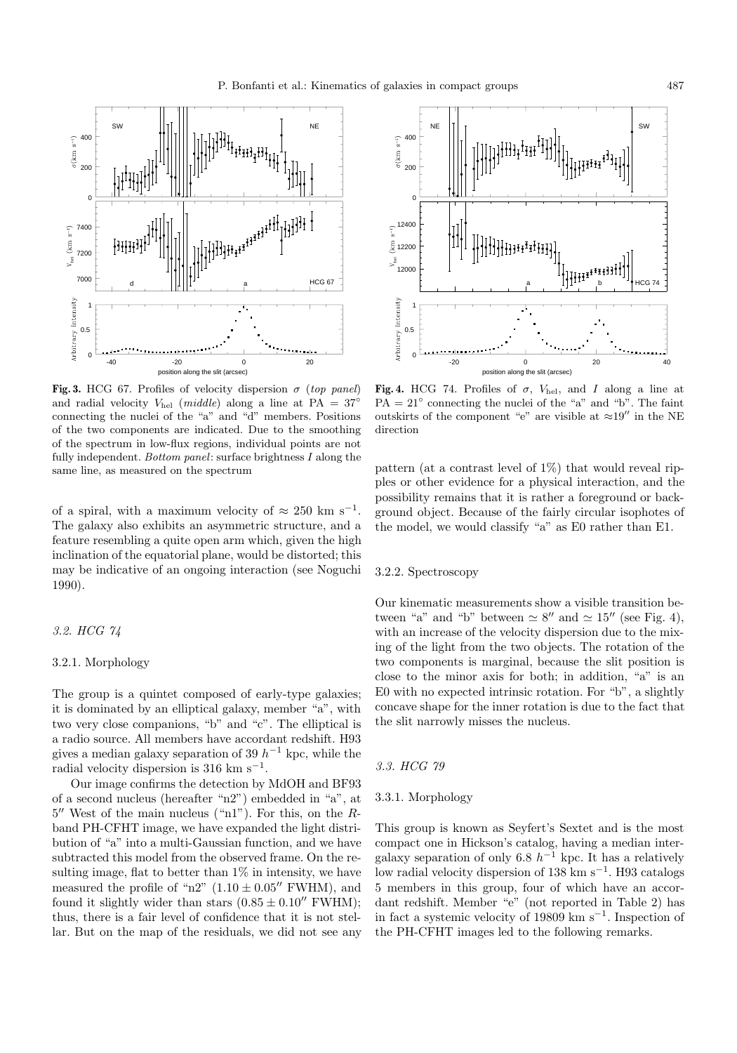

**Fig. 3.** HCG 67. Profiles of velocity dispersion  $\sigma$  (top panel) and radial velocity  $V_{hel}$  (*middle*) along a line at PA =  $37°$ connecting the nuclei of the "a" and "d" members. Positions of the two components are indicated. Due to the smoothing of the spectrum in low-flux regions, individual points are not fully independent. Bottom panel: surface brightness  $I$  along the same line, as measured on the spectrum

of a spiral, with a maximum velocity of  $\approx 250 \text{ km s}^{-1}$ . The galaxy also exhibits an asymmetric structure, and a feature resembling a quite open arm which, given the high inclination of the equatorial plane, would be distorted; this may be indicative of an ongoing interaction (see Noguchi 1990).

## 3.2. HCG 74

## 3.2.1. Morphology

The group is a quintet composed of early-type galaxies; it is dominated by an elliptical galaxy, member "a", with two very close companions, "b" and "c". The elliptical is a radio source. All members have accordant redshift. H93 gives a median galaxy separation of 39  $h^{-1}$  kpc, while the radial velocity dispersion is 316 km s<sup> $-1$ </sup>.

Our image confirms the detection by MdOH and BF93 of a second nucleus (hereafter "n2") embedded in "a", at  $5''$  West of the main nucleus ("n1"). For this, on the Rband PH-CFHT image, we have expanded the light distribution of "a" into a multi-Gaussian function, and we have subtracted this model from the observed frame. On the resulting image, flat to better than  $1\%$  in intensity, we have measured the profile of "n2"  $(1.10 \pm 0.05$ " FWHM), and found it slightly wider than stars  $(0.85 \pm 0.10$ " FWHM); thus, there is a fair level of confidence that it is not stellar. But on the map of the residuals, we did not see any

 $NE$   $||$   $\frac{1}{1}$   $\frac{1}{1}$  SW 400 200  $\mathcal{C}_{\mathcal{C}}$ 12400 12200  $\frac{1}{2}$  12000  $\mathrm{H}\mathrm{H}\mathrm{H}\mathrm{H}$ a  $1 \mid 1 \mid 1 \mid$  b  $\uparrow$  HCG 74 Arbitrary Intensity 1 0.5 0 -20 0 20 40 position along the slit (arcsec)

Fig. 4. HCG 74. Profiles of  $\sigma$ ,  $V_{hel}$ , and I along a line at  $PA = 21°$  connecting the nuclei of the "a" and "b". The faint outskirts of the component "e" are visible at  $\approx 19$ " in the NE direction

pattern (at a contrast level of 1%) that would reveal ripples or other evidence for a physical interaction, and the possibility remains that it is rather a foreground or background object. Because of the fairly circular isophotes of the model, we would classify "a" as E0 rather than E1.

## 3.2.2. Spectroscopy

Our kinematic measurements show a visible transition between "a" and "b" between  $\simeq 8''$  and  $\simeq 15''$  (see Fig. 4), with an increase of the velocity dispersion due to the mixing of the light from the two objects. The rotation of the two components is marginal, because the slit position is close to the minor axis for both; in addition, "a" is an E0 with no expected intrinsic rotation. For "b", a slightly concave shape for the inner rotation is due to the fact that the slit narrowly misses the nucleus.

#### 3.3. HCG 79

## 3.3.1. Morphology

This group is known as Seyfert's Sextet and is the most compact one in Hickson's catalog, having a median intergalaxy separation of only 6.8  $h^{-1}$  kpc. It has a relatively low radial velocity dispersion of 138 km s−<sup>1</sup>. H93 catalogs 5 members in this group, four of which have an accordant redshift. Member "e" (not reported in Table 2) has in fact a systemic velocity of 19809 km s−<sup>1</sup>. Inspection of the PH-CFHT images led to the following remarks.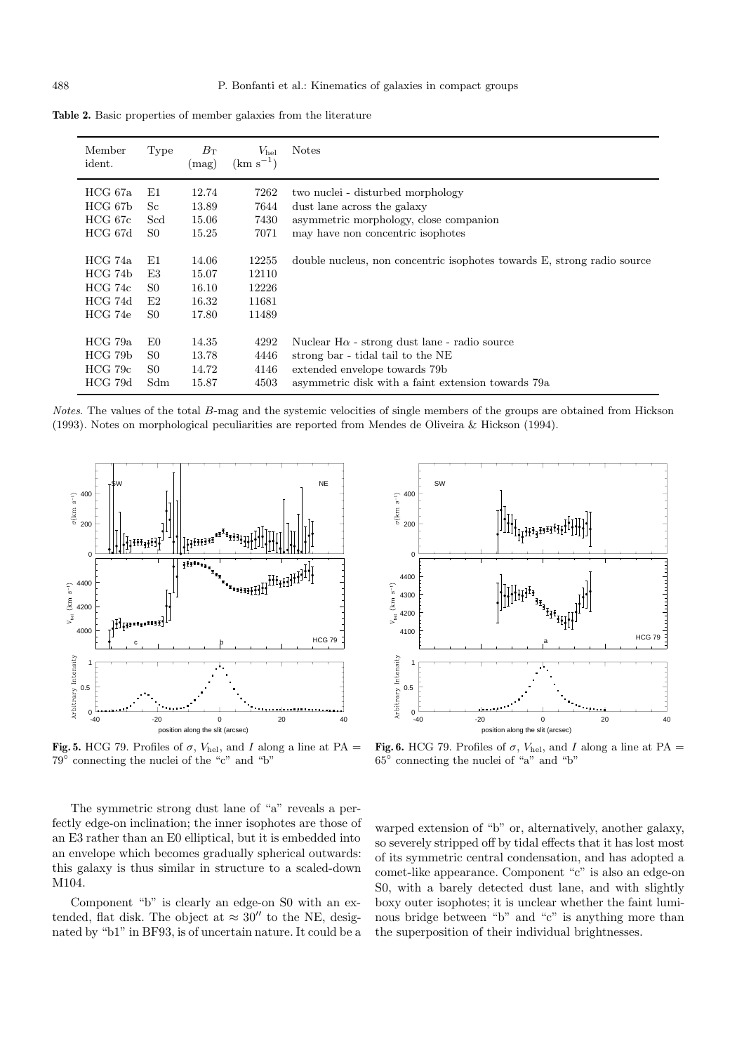| Member<br>ident. | Type | $B_{\rm T}$<br>$(\text{mag})$ | $V_{\rm hel}$<br>$(km s^{-1})$ | <b>Notes</b>                                                            |
|------------------|------|-------------------------------|--------------------------------|-------------------------------------------------------------------------|
|                  |      |                               |                                |                                                                         |
| HCG 67a          | E1   | 12.74                         | 7262                           | two nuclei - disturbed morphology                                       |
| HCG 67b          | Sc   | 13.89                         | 7644                           | dust lane across the galaxy                                             |
| HCG 67c          | Scd  | 15.06                         | 7430                           | asymmetric morphology, close companion                                  |
| HCG 67d          | S0   | 15.25                         | 7071                           | may have non concentric isophotes                                       |
|                  |      |                               |                                |                                                                         |
| HCG 74a          | E1   | 14.06                         | 12255                          | double nucleus, non concentric isophotes towards E, strong radio source |
| HCG 74b          | E3   | 15.07                         | 12110                          |                                                                         |
| HCG 74c          | S0   | 16.10                         | 12226                          |                                                                         |
| HCG 74d          | E2   | 16.32                         | 11681                          |                                                                         |
| HCG 74e          | S0   | 17.80                         | 11489                          |                                                                         |
|                  |      |                               |                                |                                                                         |
| HCG 79a          | E0   | 14.35                         | 4292                           | Nuclear $H\alpha$ - strong dust lane - radio source                     |
| HCG 79b          | S0   | 13.78                         | 4446                           | strong bar - tidal tail to the NE                                       |
| $HCG$ 79 $c$     | S0   | 14.72                         | 4146                           | extended envelope towards 79b                                           |
| HCG 79d          | Sdm  | 15.87                         | 4503                           | asymmetric disk with a faint extension towards 79a                      |

**Table 2.** Basic properties of member galaxies from the literature

Notes. The values of the total B-mag and the systemic velocities of single members of the groups are obtained from Hickson (1993). Notes on morphological peculiarities are reported from Mendes de Oliveira & Hickson (1994).



**Fig. 5.** HCG 79. Profiles of  $\sigma$ ,  $V_{hel}$ , and I along a line at PA = 79◦ connecting the nuclei of the "c" and "b"

The symmetric strong dust lane of "a" reveals a perfectly edge-on inclination; the inner isophotes are those of an E3 rather than an E0 elliptical, but it is embedded into an envelope which becomes gradually spherical outwards: this galaxy is thus similar in structure to a scaled-down M104.

Component "b" is clearly an edge-on S0 with an extended, flat disk. The object at  $\approx 30''$  to the NE, designated by "b1" in BF93, is of uncertain nature. It could be a



**Fig. 6.** HCG 79. Profiles of  $\sigma$ ,  $V_{hel}$ , and I along a line at PA = 65◦ connecting the nuclei of "a" and "b"

warped extension of "b" or, alternatively, another galaxy, so severely stripped off by tidal effects that it has lost most of its symmetric central condensation, and has adopted a comet-like appearance. Component "c" is also an edge-on S0, with a barely detected dust lane, and with slightly boxy outer isophotes; it is unclear whether the faint luminous bridge between "b" and "c" is anything more than the superposition of their individual brightnesses.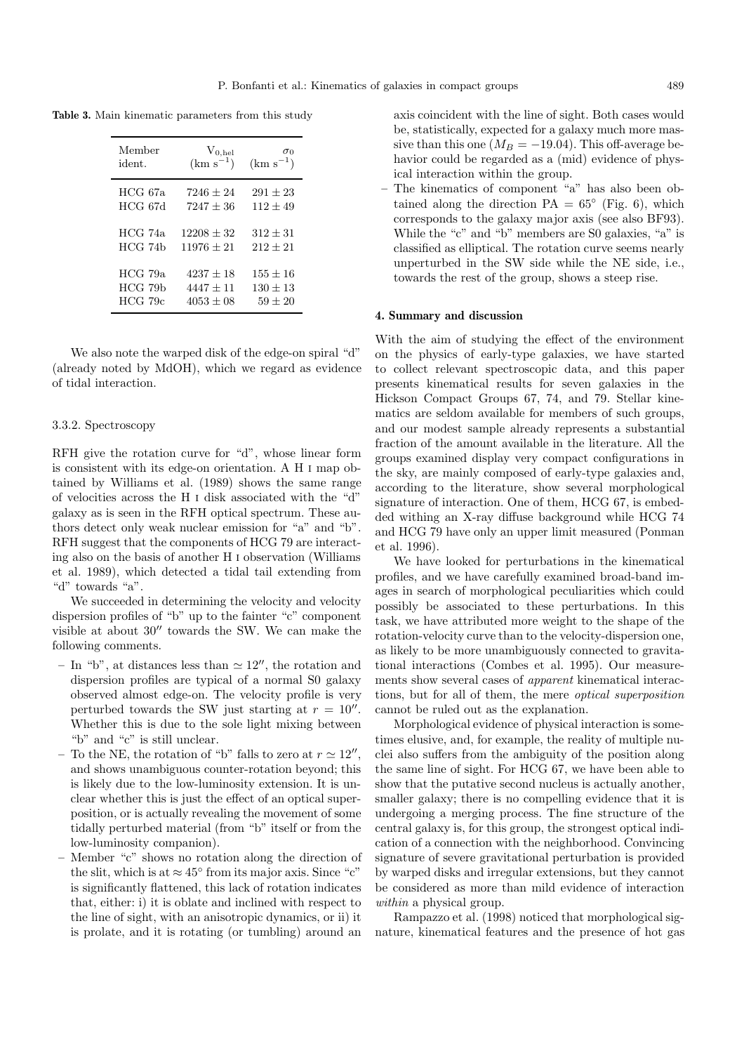**Table 3.** Main kinematic parameters from this study

| Member       | $V_{0,hel}$   | $\sigma_0$    |
|--------------|---------------|---------------|
| ident.       | $(km s^{-1})$ | $(km s^{-1})$ |
| HCG 67a      | $7246 + 24$   | $291 + 23$    |
| HCG 67d      | $7247 + 36$   | $112 + 49$    |
| HCG 74a      | $12208 + 32$  | $312 + 31$    |
| HCG 74h      | $11976 + 21$  | $212 + 21$    |
| HCG 79a      | $4237 + 18$   | $155 \pm 16$  |
| HCG 79b      | $4447 + 11$   | $130 + 13$    |
| $HCG$ 79 $c$ | $4053 + 08$   | $59 + 20$     |

We also note the warped disk of the edge-on spiral "d" (already noted by MdOH), which we regard as evidence of tidal interaction.

## 3.3.2. Spectroscopy

RFH give the rotation curve for "d", whose linear form is consistent with its edge-on orientation. A H i map obtained by Williams et al. (1989) shows the same range of velocities across the H i disk associated with the "d" galaxy as is seen in the RFH optical spectrum. These authors detect only weak nuclear emission for "a" and "b". RFH suggest that the components of HCG 79 are interacting also on the basis of another H i observation (Williams et al. 1989), which detected a tidal tail extending from "d" towards "a".

We succeeded in determining the velocity and velocity dispersion profiles of "b" up to the fainter "c" component visible at about  $30''$  towards the SW. We can make the following comments.

- In "b", at distances less than  $\simeq 12''$ , the rotation and dispersion profiles are typical of a normal S0 galaxy observed almost edge-on. The velocity profile is very perturbed towards the SW just starting at  $r = 10''$ . Whether this is due to the sole light mixing between "b" and "c" is still unclear.
- To the NE, the rotation of "b" falls to zero at  $r \approx 12$ ", and shows unambiguous counter-rotation beyond; this is likely due to the low-luminosity extension. It is unclear whether this is just the effect of an optical superposition, or is actually revealing the movement of some tidally perturbed material (from "b" itself or from the low-luminosity companion).
- **–** Member "c" shows no rotation along the direction of the slit, which is at  $\approx 45^{\circ}$  from its major axis. Since "c" is significantly flattened, this lack of rotation indicates that, either: i) it is oblate and inclined with respect to the line of sight, with an anisotropic dynamics, or ii) it is prolate, and it is rotating (or tumbling) around an

axis coincident with the line of sight. Both cases would be, statistically, expected for a galaxy much more massive than this one ( $M_B = -19.04$ ). This off-average behavior could be regarded as a (mid) evidence of physical interaction within the group.

The kinematics of component "a" has also been obtained along the direction  $PA = 65^{\circ}$  (Fig. 6), which corresponds to the galaxy major axis (see also BF93). While the "c" and "b" members are S0 galaxies, "a" is classified as elliptical. The rotation curve seems nearly unperturbed in the SW side while the NE side, i.e., towards the rest of the group, shows a steep rise.

## **4. Summary and discussion**

With the aim of studying the effect of the environment on the physics of early-type galaxies, we have started to collect relevant spectroscopic data, and this paper presents kinematical results for seven galaxies in the Hickson Compact Groups 67, 74, and 79. Stellar kinematics are seldom available for members of such groups, and our modest sample already represents a substantial fraction of the amount available in the literature. All the groups examined display very compact configurations in the sky, are mainly composed of early-type galaxies and, according to the literature, show several morphological signature of interaction. One of them, HCG 67, is embedded withing an X-ray diffuse background while HCG 74 and HCG 79 have only an upper limit measured (Ponman et al. 1996).

We have looked for perturbations in the kinematical profiles, and we have carefully examined broad-band images in search of morphological peculiarities which could possibly be associated to these perturbations. In this task, we have attributed more weight to the shape of the rotation-velocity curve than to the velocity-dispersion one, as likely to be more unambiguously connected to gravitational interactions (Combes et al. 1995). Our measurements show several cases of apparent kinematical interactions, but for all of them, the mere optical superposition cannot be ruled out as the explanation.

Morphological evidence of physical interaction is sometimes elusive, and, for example, the reality of multiple nuclei also suffers from the ambiguity of the position along the same line of sight. For HCG 67, we have been able to show that the putative second nucleus is actually another, smaller galaxy; there is no compelling evidence that it is undergoing a merging process. The fine structure of the central galaxy is, for this group, the strongest optical indication of a connection with the neighborhood. Convincing signature of severe gravitational perturbation is provided by warped disks and irregular extensions, but they cannot be considered as more than mild evidence of interaction within a physical group.

Rampazzo et al. (1998) noticed that morphological signature, kinematical features and the presence of hot gas